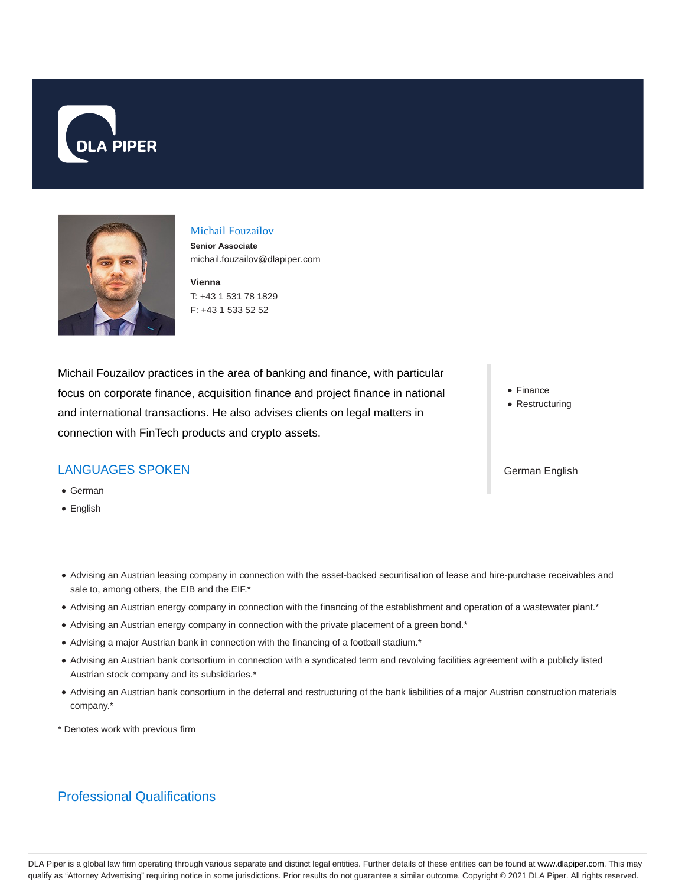



#### Michail Fouzailov

**Senior Associate** michail.fouzailov@dlapiper.com

**Vienna** T: +43 1 531 78 1829 F: +43 1 533 52 52

Michail Fouzailov practices in the area of banking and finance, with particular focus on corporate finance, acquisition finance and project finance in national and international transactions. He also advises clients on legal matters in connection with FinTech products and crypto assets.

• Finance • Restructuring

## LANGUAGES SPOKEN

- German
- English

German English

- Advising an Austrian leasing company in connection with the asset-backed securitisation of lease and hire-purchase receivables and sale to, among others, the EIB and the EIF.\*
- Advising an Austrian energy company in connection with the financing of the establishment and operation of a wastewater plant.\*
- Advising an Austrian energy company in connection with the private placement of a green bond.\*
- Advising a major Austrian bank in connection with the financing of a football stadium.\*
- Advising an Austrian bank consortium in connection with a syndicated term and revolving facilities agreement with a publicly listed Austrian stock company and its subsidiaries.\*
- Advising an Austrian bank consortium in the deferral and restructuring of the bank liabilities of a major Austrian construction materials company.\*
- \* Denotes work with previous firm

# Professional Qualifications

DLA Piper is a global law firm operating through various separate and distinct legal entities. Further details of these entities can be found at www.dlapiper.com. This may qualify as "Attorney Advertising" requiring notice in some jurisdictions. Prior results do not guarantee a similar outcome. Copyright © 2021 DLA Piper. All rights reserved.